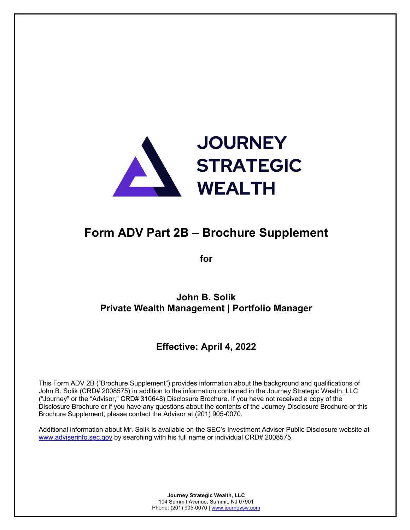

# **Form ADV Part 2B – Brochure Supplement**

**for**

**John B. Solik Private Wealth Management | Portfolio Manager**

# **Effective: April 4, 2022**

This Form ADV 2B ("Brochure Supplement") provides information about the background and qualifications of John B. Solik (CRD# 2008575) in addition to the information contained in the Journey Strategic Wealth, LLC ("Journey" or the "Advisor," CRD# 310648) Disclosure Brochure. If you have not received a copy of the Disclosure Brochure or if you have any questions about the contents of the Journey Disclosure Brochure or this Brochure Supplement, please contact the Advisor at (201) 905-0070.

Additional information about Mr. Solik is available on the SEC's Investment Adviser Public Disclosure website at www.adviserinfo.sec.gov by searching with his full name or individual CRD# 2008575.

> **Journey Strategic Wealth, LLC** 104 Summit Avenue, Summit, NJ 07901 Phone: (201) 905-0070 | www.journeysw.com